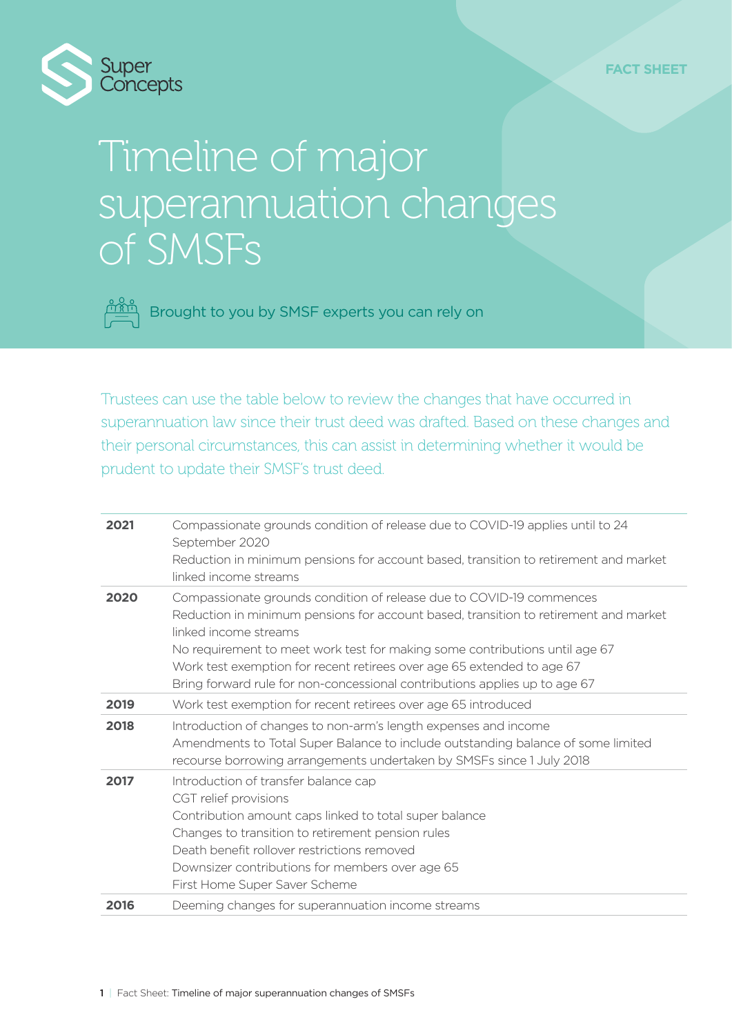

## Timeline of major superannuation changes of SMSFs

Brought to you by SMSF experts you can rely on

Trustees can use the table below to review the changes that have occurred in superannuation law since their trust deed was drafted. Based on these changes and their personal circumstances, this can assist in determining whether it would be prudent to update their SMSF's trust deed.

| 2021 | Compassionate grounds condition of release due to COVID-19 applies until to 24<br>September 2020                                                                                                                                                                                                                                                                                                                             |
|------|------------------------------------------------------------------------------------------------------------------------------------------------------------------------------------------------------------------------------------------------------------------------------------------------------------------------------------------------------------------------------------------------------------------------------|
|      | Reduction in minimum pensions for account based, transition to retirement and market<br>linked income streams                                                                                                                                                                                                                                                                                                                |
| 2020 | Compassionate grounds condition of release due to COVID-19 commences<br>Reduction in minimum pensions for account based, transition to retirement and market<br>linked income streams<br>No requirement to meet work test for making some contributions until age 67<br>Work test exemption for recent retirees over age 65 extended to age 67<br>Bring forward rule for non-concessional contributions applies up to age 67 |
| 2019 | Work test exemption for recent retirees over age 65 introduced                                                                                                                                                                                                                                                                                                                                                               |
| 2018 | Introduction of changes to non-arm's length expenses and income<br>Amendments to Total Super Balance to include outstanding balance of some limited<br>recourse borrowing arrangements undertaken by SMSFs since 1 July 2018                                                                                                                                                                                                 |
| 2017 | Introduction of transfer balance cap<br>CGT relief provisions<br>Contribution amount caps linked to total super balance<br>Changes to transition to retirement pension rules<br>Death benefit rollover restrictions removed<br>Downsizer contributions for members over age 65<br>First Home Super Saver Scheme                                                                                                              |
| 2016 | Deeming changes for superannuation income streams                                                                                                                                                                                                                                                                                                                                                                            |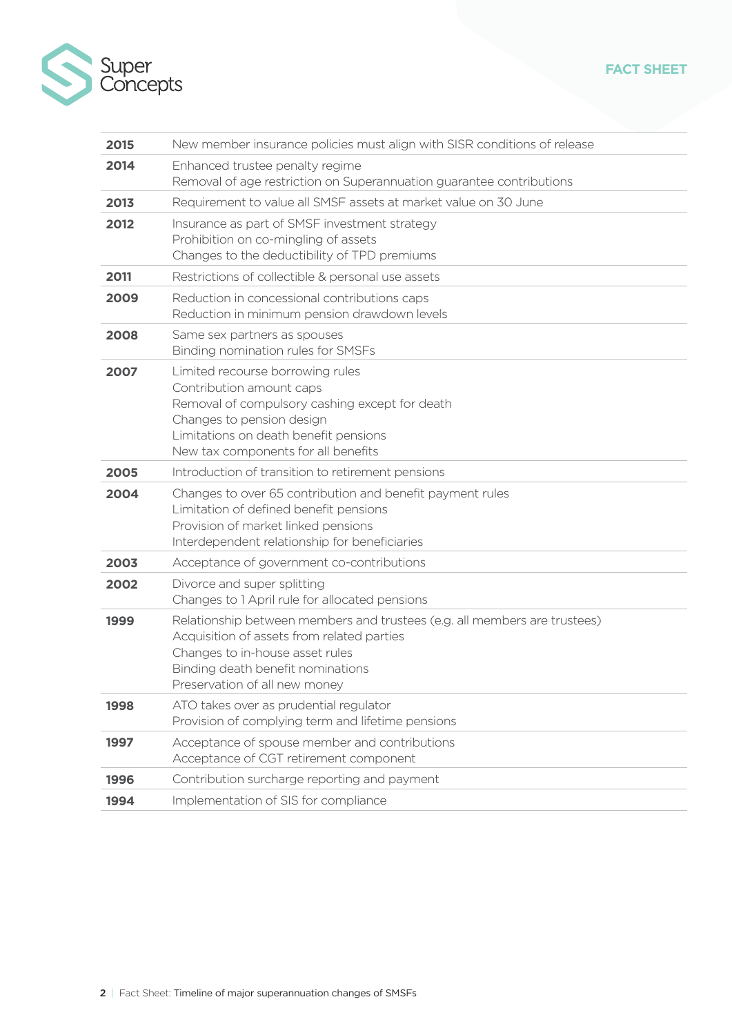

| 2015 | New member insurance policies must align with SISR conditions of release                                                                                                                                                         |
|------|----------------------------------------------------------------------------------------------------------------------------------------------------------------------------------------------------------------------------------|
| 2014 | Enhanced trustee penalty regime<br>Removal of age restriction on Superannuation guarantee contributions                                                                                                                          |
| 2013 | Requirement to value all SMSF assets at market value on 30 June                                                                                                                                                                  |
| 2012 | Insurance as part of SMSF investment strategy<br>Prohibition on co-mingling of assets<br>Changes to the deductibility of TPD premiums                                                                                            |
| 2011 | Restrictions of collectible & personal use assets                                                                                                                                                                                |
| 2009 | Reduction in concessional contributions caps<br>Reduction in minimum pension drawdown levels                                                                                                                                     |
| 2008 | Same sex partners as spouses<br>Binding nomination rules for SMSFs                                                                                                                                                               |
| 2007 | Limited recourse borrowing rules<br>Contribution amount caps<br>Removal of compulsory cashing except for death<br>Changes to pension design<br>Limitations on death benefit pensions<br>New tax components for all benefits      |
| 2005 | Introduction of transition to retirement pensions                                                                                                                                                                                |
| 2004 | Changes to over 65 contribution and benefit payment rules<br>Limitation of defined benefit pensions<br>Provision of market linked pensions<br>Interdependent relationship for beneficiaries                                      |
| 2003 | Acceptance of government co-contributions                                                                                                                                                                                        |
| 2002 | Divorce and super splitting<br>Changes to 1 April rule for allocated pensions                                                                                                                                                    |
| 1999 | Relationship between members and trustees (e.g. all members are trustees)<br>Acquisition of assets from related parties<br>Changes to in-house asset rules<br>Binding death benefit nominations<br>Preservation of all new money |
| 1998 | ATO takes over as prudential regulator<br>Provision of complying term and lifetime pensions                                                                                                                                      |
| 1997 | Acceptance of spouse member and contributions<br>Acceptance of CGT retirement component                                                                                                                                          |
| 1996 | Contribution surcharge reporting and payment                                                                                                                                                                                     |
| 1994 | Implementation of SIS for compliance                                                                                                                                                                                             |